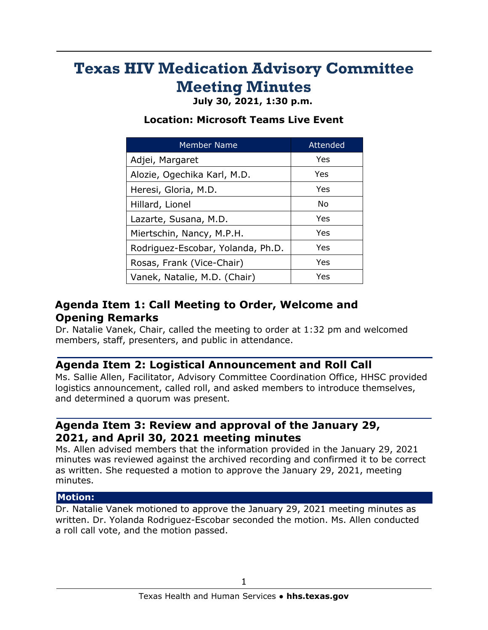# **Texas HIV Medication Advisory Committee Meeting Minutes**

**July 30, 2021, 1:30 p.m.**

## **Location: Microsoft Teams Live Event**

| <b>Member Name</b>                | Attended |
|-----------------------------------|----------|
| Adjei, Margaret                   | Yes      |
| Alozie, Ogechika Karl, M.D.       | Yes      |
| Heresi, Gloria, M.D.              | Yes      |
| Hillard, Lionel                   | No       |
| Lazarte, Susana, M.D.             | Yes      |
| Miertschin, Nancy, M.P.H.         | Yes      |
| Rodriguez-Escobar, Yolanda, Ph.D. | Yes      |
| Rosas, Frank (Vice-Chair)         | Yes      |
| Vanek, Natalie, M.D. (Chair)      | Yes      |

# **Agenda Item 1: Call Meeting to Order, Welcome and Opening Remarks**

Dr. Natalie Vanek, Chair, called the meeting to order at 1:32 pm and welcomed members, staff, presenters, and public in attendance.

# **Agenda Item 2: Logistical Announcement and Roll Call**

Ms. Sallie Allen, Facilitator, Advisory Committee Coordination Office, HHSC provided logistics announcement, called roll, and asked members to introduce themselves, and determined a quorum was present.

## **Agenda Item 3: Review and approval of the January 29, 2021, and April 30, 2021 meeting minutes**

Ms. Allen advised members that the information provided in the January 29, 2021 minutes was reviewed against the archived recording and confirmed it to be correct as written. She requested a motion to approve the January 29, 2021, meeting minutes.

#### **Motion:**

Dr. Natalie Vanek motioned to approve the January 29, 2021 meeting minutes as written. Dr. Yolanda Rodriguez-Escobar seconded the motion. Ms. Allen conducted a roll call vote, and the motion passed.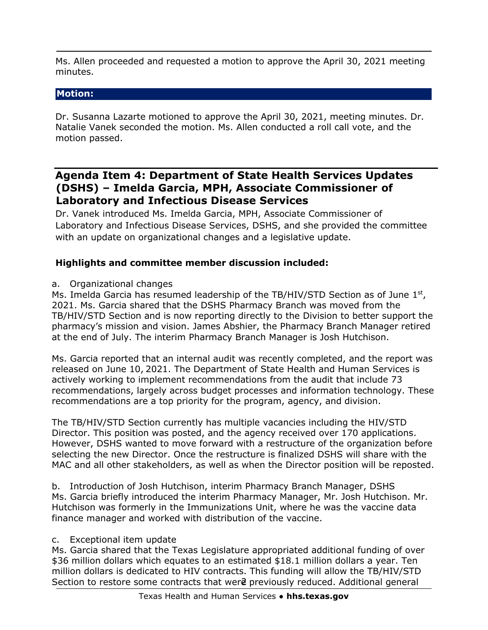Ms. Allen proceeded and requested a motion to approve the April 30, 2021 meeting minutes.

## **Motion:**

Dr. Susanna Lazarte motioned to approve the April 30, 2021, meeting minutes. Dr. Natalie Vanek seconded the motion. Ms. Allen conducted a roll call vote, and the motion passed.

## **Agenda Item 4: Department of State Health Services Updates (DSHS) – Imelda Garcia, MPH, Associate Commissioner of Laboratory and Infectious Disease Services**

Dr. Vanek introduced Ms. Imelda Garcia, MPH, Associate Commissioner of Laboratory and Infectious Disease Services, DSHS, and she provided the committee with an update on organizational changes and a legislative update.

## **Highlights and committee member discussion included:**

a. Organizational changes

Ms. Imelda Garcia has resumed leadership of the TB/HIV/STD Section as of June  $1<sup>st</sup>$ , 2021. Ms. Garcia shared that the DSHS Pharmacy Branch was moved from the TB/HIV/STD Section and is now reporting directly to the Division to better support the pharmacy's mission and vision. James Abshier, the Pharmacy Branch Manager retired at the end of July. The interim Pharmacy Branch Manager is Josh Hutchison.

Ms. Garcia reported that an internal audit was recently completed, and the report was released on June 10, 2021. The Department of State Health and Human Services is actively working to implement recommendations from the audit that include 73 recommendations, largely across budget processes and information technology. These recommendations are a top priority for the program, agency, and division.

The TB/HIV/STD Section currently has multiple vacancies including the HIV/STD Director. This position was posted, and the agency received over 170 applications. However, DSHS wanted to move forward with a restructure of the organization before selecting the new Director. Once the restructure is finalized DSHS will share with the MAC and all other stakeholders, as well as when the Director position will be reposted.

b. Introduction of Josh Hutchison, interim Pharmacy Branch Manager, DSHS Ms. Garcia briefly introduced the interim Pharmacy Manager, Mr. Josh Hutchison. Mr. Hutchison was formerly in the Immunizations Unit, where he was the vaccine data finance manager and worked with distribution of the vaccine.

#### c. Exceptional item update

Section to restore some contracts that were previously reduced. Additional general Ms. Garcia shared that the Texas Legislature appropriated additional funding of over \$36 million dollars which equates to an estimated \$18.1 million dollars a year. Ten million dollars is dedicated to HIV contracts. This funding will allow the TB/HIV/STD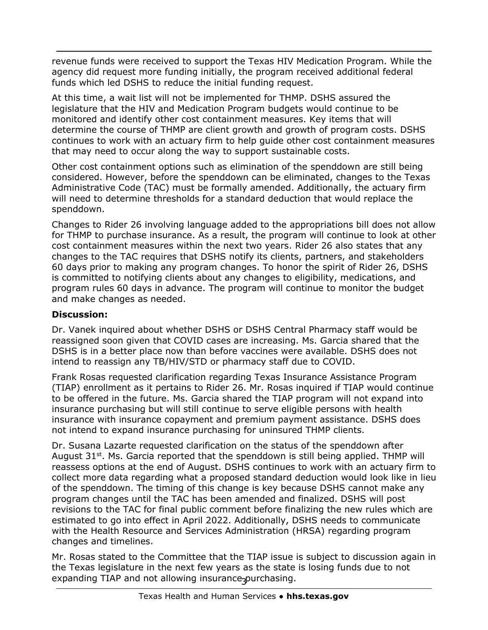revenue funds were received to support the Texas HIV Medication Program. While the agency did request more funding initially, the program received additional federal funds which led DSHS to reduce the initial funding request.

At this time, a wait list will not be implemented for THMP. DSHS assured the legislature that the HIV and Medication Program budgets would continue to be monitored and identify other cost containment measures. Key items that will determine the course of THMP are client growth and growth of program costs. DSHS continues to work with an actuary firm to help guide other cost containment measures that may need to occur along the way to support sustainable costs.

Other cost containment options such as elimination of the spenddown are still being considered. However, before the spenddown can be eliminated, changes to the Texas Administrative Code (TAC) must be formally amended. Additionally, the actuary firm will need to determine thresholds for a standard deduction that would replace the spenddown.

Changes to Rider 26 involving language added to the appropriations bill does not allow for THMP to purchase insurance. As a result, the program will continue to look at other cost containment measures within the next two years. Rider 26 also states that any changes to the TAC requires that DSHS notify its clients, partners, and stakeholders 60 days prior to making any program changes. To honor the spirit of Rider 26, DSHS is committed to notifying clients about any changes to eligibility, medications, and program rules 60 days in advance. The program will continue to monitor the budget and make changes as needed.

#### **Discussion:**

Dr. Vanek inquired about whether DSHS or DSHS Central Pharmacy staff would be reassigned soon given that COVID cases are increasing. Ms. Garcia shared that the DSHS is in a better place now than before vaccines were available. DSHS does not intend to reassign any TB/HIV/STD or pharmacy staff due to COVID.

Frank Rosas requested clarification regarding Texas Insurance Assistance Program (TIAP) enrollment as it pertains to Rider 26. Mr. Rosas inquired if TIAP would continue to be offered in the future. Ms. Garcia shared the TIAP program will not expand into insurance purchasing but will still continue to serve eligible persons with health insurance with insurance copayment and premium payment assistance. DSHS does not intend to expand insurance purchasing for uninsured THMP clients.

Dr. Susana Lazarte requested clarification on the status of the spenddown after August 31<sup>st</sup>. Ms. Garcia reported that the spenddown is still being applied. THMP will reassess options at the end of August. DSHS continues to work with an actuary firm to collect more data regarding what a proposed standard deduction would look like in lieu of the spenddown. The timing of this change is key because DSHS cannot make any program changes until the TAC has been amended and finalized. DSHS will post revisions to the TAC for final public comment before finalizing the new rules which are estimated to go into effect in April 2022. Additionally, DSHS needs to communicate with the Health Resource and Services Administration (HRSA) regarding program changes and timelines.

expanding TIAP and not allowing insurance<sub>3</sub>purchasing. Mr. Rosas stated to the Committee that the TIAP issue is subject to discussion again in the Texas legislature in the next few years as the state is losing funds due to not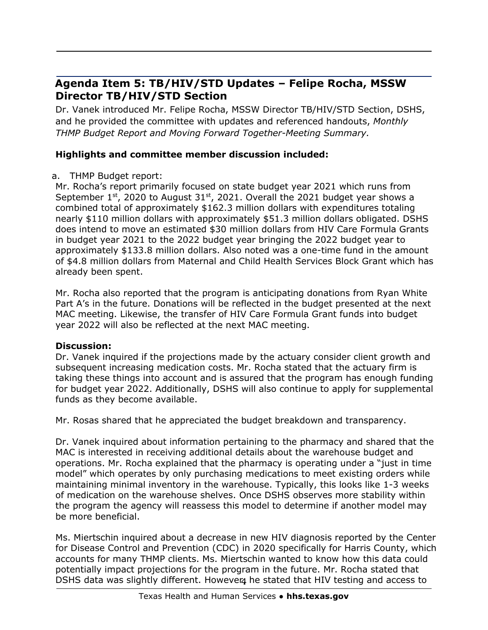# **Agenda Item 5: TB/HIV/STD Updates – Felipe Rocha, MSSW Director TB/HIV/STD Section**

Dr. Vanek introduced Mr. Felipe Rocha, MSSW Director TB/HIV/STD Section, DSHS, and he provided the committee with updates and referenced handouts, *Monthly THMP Budget Report and Moving Forward Together-Meeting Summary.*

## **Highlights and committee member discussion included:**

#### a. THMP Budget report:

Mr. Rocha's report primarily focused on state budget year 2021 which runs from September  $1<sup>st</sup>$ , 2020 to August 31 $<sup>st</sup>$ , 2021. Overall the 2021 budget year shows a</sup> combined total of approximately \$162.3 million dollars with expenditures totaling nearly \$110 million dollars with approximately \$51.3 million dollars obligated. DSHS does intend to move an estimated \$30 million dollars from HIV Care Formula Grants in budget year 2021 to the 2022 budget year bringing the 2022 budget year to approximately \$133.8 million dollars. Also noted was a one-time fund in the amount of \$4.8 million dollars from Maternal and Child Health Services Block Grant which has already been spent.

Mr. Rocha also reported that the program is anticipating donations from Ryan White Part A's in the future. Donations will be reflected in the budget presented at the next MAC meeting. Likewise, the transfer of HIV Care Formula Grant funds into budget year 2022 will also be reflected at the next MAC meeting.

## **Discussion:**

Dr. Vanek inquired if the projections made by the actuary consider client growth and subsequent increasing medication costs. Mr. Rocha stated that the actuary firm is taking these things into account and is assured that the program has enough funding for budget year 2022. Additionally, DSHS will also continue to apply for supplemental funds as they become available.

Mr. Rosas shared that he appreciated the budget breakdown and transparency.

Dr. Vanek inquired about information pertaining to the pharmacy and shared that the MAC is interested in receiving additional details about the warehouse budget and operations. Mr. Rocha explained that the pharmacy is operating under a "just in time model" which operates by only purchasing medications to meet existing orders while maintaining minimal inventory in the warehouse. Typically, this looks like 1-3 weeks of medication on the warehouse shelves. Once DSHS observes more stability within the program the agency will reassess this model to determine if another model may be more beneficial.

DSHS data was slightly different. However, he stated that HIV testing and access to Ms. Miertschin inquired about a decrease in new HIV diagnosis reported by the Center for Disease Control and Prevention (CDC) in 2020 specifically for Harris County, which accounts for many THMP clients. Ms. Miertschin wanted to know how this data could potentially impact projections for the program in the future. Mr. Rocha stated that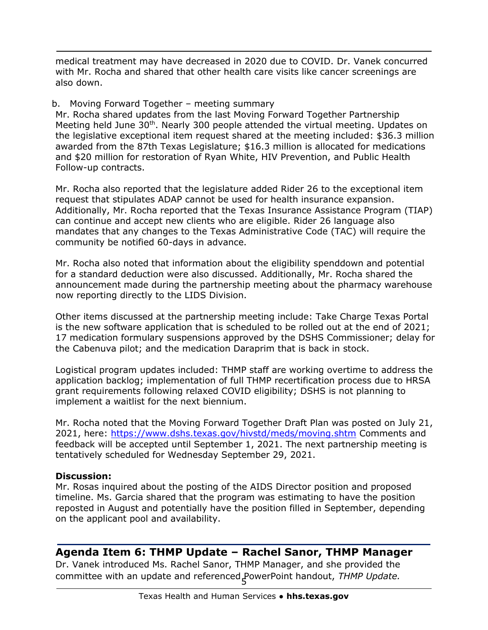medical treatment may have decreased in 2020 due to COVID. Dr. Vanek concurred with Mr. Rocha and shared that other health care visits like cancer screenings are also down.

#### b. Moving Forward Together – meeting summary

Mr. Rocha shared updates from the last Moving Forward Together Partnership Meeting held June 30<sup>th</sup>. Nearly 300 people attended the virtual meeting. Updates on the legislative exceptional item request shared at the meeting included: \$36.3 million awarded from the 87th Texas Legislature; \$16.3 million is allocated for medications and \$20 million for restoration of Ryan White, HIV Prevention, and Public Health Follow-up contracts.

Mr. Rocha also reported that the legislature added Rider 26 to the exceptional item request that stipulates ADAP cannot be used for health insurance expansion. Additionally, Mr. Rocha reported that the Texas Insurance Assistance Program (TIAP) can continue and accept new clients who are eligible. Rider 26 language also mandates that any changes to the Texas Administrative Code (TAC) will require the community be notified 60-days in advance.

Mr. Rocha also noted that information about the eligibility spenddown and potential for a standard deduction were also discussed. Additionally, Mr. Rocha shared the announcement made during the partnership meeting about the pharmacy warehouse now reporting directly to the LIDS Division.

Other items discussed at the partnership meeting include: Take Charge Texas Portal is the new software application that is scheduled to be rolled out at the end of 2021; 17 medication formulary suspensions approved by the DSHS Commissioner; delay for the Cabenuva pilot; and the medication Daraprim that is back in stock.

Logistical program updates included: THMP staff are working overtime to address the application backlog; implementation of full THMP recertification process due to HRSA grant requirements following relaxed COVID eligibility; DSHS is not planning to implement a waitlist for the next biennium.

Mr. Rocha noted that the Moving Forward Together Draft Plan was posted on July 21, 2021, here: <https://www.dshs.texas.gov/hivstd/meds/moving.shtm> Comments and feedback will be accepted until September 1, 2021. The next partnership meeting is tentatively scheduled for Wednesday September 29, 2021.

#### **Discussion:**

Mr. Rosas inquired about the posting of the AIDS Director position and proposed timeline. Ms. Garcia shared that the program was estimating to have the position reposted in August and potentially have the position filled in September, depending on the applicant pool and availability.

## **Agenda Item 6: THMP Update – Rachel Sanor, THMP Manager**

5 committee with an update and referenced PowerPoint handout, *THMP Update.*Dr. Vanek introduced Ms. Rachel Sanor, THMP Manager, and she provided the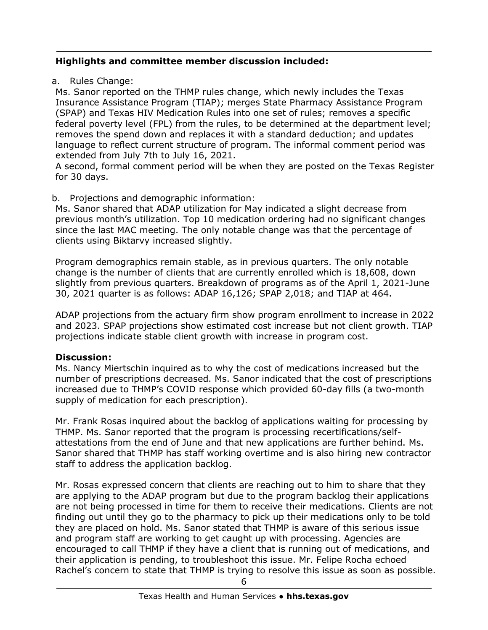## **Highlights and committee member discussion included:**

a. Rules Change:

Ms. Sanor reported on the THMP rules change, which newly includes the Texas Insurance Assistance Program (TIAP); merges State Pharmacy Assistance Program (SPAP) and Texas HIV Medication Rules into one set of rules; removes a specific federal poverty level (FPL) from the rules, to be determined at the department level; removes the spend down and replaces it with a standard deduction; and updates language to reflect current structure of program. The informal comment period was extended from July 7th to July 16, 2021.

A second, formal comment period will be when they are posted on the Texas Register for 30 days.

## b. Projections and demographic information:

Ms. Sanor shared that ADAP utilization for May indicated a slight decrease from previous month's utilization. Top 10 medication ordering had no significant changes since the last MAC meeting. The only notable change was that the percentage of clients using Biktarvy increased slightly.

Program demographics remain stable, as in previous quarters. The only notable change is the number of clients that are currently enrolled which is 18,608, down slightly from previous quarters. Breakdown of programs as of the April 1, 2021-June 30, 2021 quarter is as follows: ADAP 16,126; SPAP 2,018; and TIAP at 464.

ADAP projections from the actuary firm show program enrollment to increase in 2022 and 2023. SPAP projections show estimated cost increase but not client growth. TIAP projections indicate stable client growth with increase in program cost.

## **Discussion:**

Ms. Nancy Miertschin inquired as to why the cost of medications increased but the number of prescriptions decreased. Ms. Sanor indicated that the cost of prescriptions increased due to THMP's COVID response which provided 60-day fills (a two-month supply of medication for each prescription).

Mr. Frank Rosas inquired about the backlog of applications waiting for processing by THMP. Ms. Sanor reported that the program is processing recertifications/selfattestations from the end of June and that new applications are further behind. Ms. Sanor shared that THMP has staff working overtime and is also hiring new contractor staff to address the application backlog.

Mr. Rosas expressed concern that clients are reaching out to him to share that they are applying to the ADAP program but due to the program backlog their applications are not being processed in time for them to receive their medications. Clients are not finding out until they go to the pharmacy to pick up their medications only to be told they are placed on hold. Ms. Sanor stated that THMP is aware of this serious issue and program staff are working to get caught up with processing. Agencies are encouraged to call THMP if they have a client that is running out of medications, and their application is pending, to troubleshoot this issue. Mr. Felipe Rocha echoed Rachel's concern to state that THMP is trying to resolve this issue as soon as possible.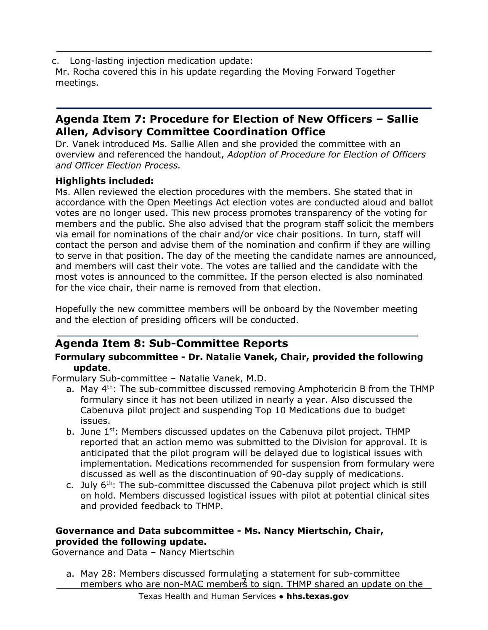c. Long-lasting injection medication update: Mr. Rocha covered this in his update regarding the Moving Forward Together meetings.

# **Agenda Item 7: Procedure for Election of New Officers – Sallie Allen, Advisory Committee Coordination Office**

Dr. Vanek introduced Ms. Sallie Allen and she provided the committee with an overview and referenced the handout, *Adoption of Procedure for Election of Officers and Officer Election Process.*

#### **Highlights included:**

Ms. Allen reviewed the election procedures with the members. She stated that in accordance with the Open Meetings Act election votes are conducted aloud and ballot votes are no longer used. This new process promotes transparency of the voting for members and the public. She also advised that the program staff solicit the members via email for nominations of the chair and/or vice chair positions. In turn, staff will contact the person and advise them of the nomination and confirm if they are willing to serve in that position. The day of the meeting the candidate names are announced, and members will cast their vote. The votes are tallied and the candidate with the most votes is announced to the committee. If the person elected is also nominated for the vice chair, their name is removed from that election.

Hopefully the new committee members will be onboard by the November meeting and the election of presiding officers will be conducted.

# **Agenda Item 8: Sub-Committee Reports**

#### **Formulary subcommittee - Dr. Natalie Vanek, Chair, provided the following update**.

Formulary Sub-committee – Natalie Vanek, M.D.

- a. May 4<sup>th</sup>: The sub-committee discussed removing Amphotericin B from the THMP formulary since it has not been utilized in nearly a year. Also discussed the Cabenuva pilot project and suspending Top 10 Medications due to budget issues.
- b. June  $1<sup>st</sup>$ : Members discussed updates on the Cabenuva pilot project. THMP reported that an action memo was submitted to the Division for approval. It is anticipated that the pilot program will be delayed due to logistical issues with implementation. Medications recommended for suspension from formulary were discussed as well as the discontinuation of 90-day supply of medications.
- c. July  $6<sup>th</sup>$ : The sub-committee discussed the Cabenuva pilot project which is still on hold. Members discussed logistical issues with pilot at potential clinical sites and provided feedback to THMP.

#### **Governance and Data subcommittee - Ms. Nancy Miertschin, Chair, provided the following update.**

Governance and Data – Nancy Miertschin

members who are non-MAC members to sign. THMP shared an update on the a. May 28: Members discussed formulating a statement for sub-committee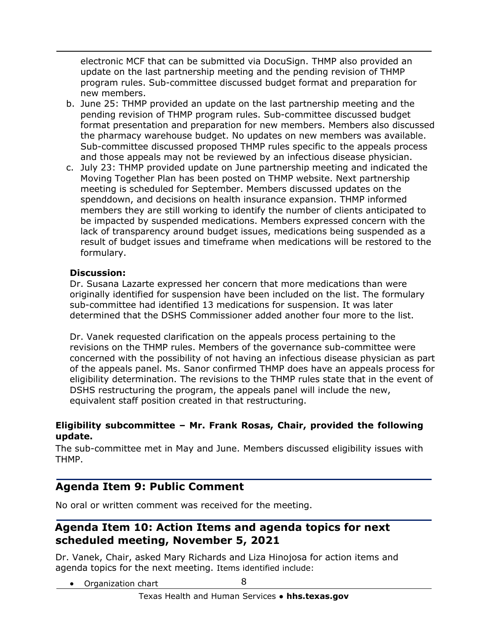electronic MCF that can be submitted via DocuSign. THMP also provided an update on the last partnership meeting and the pending revision of THMP program rules. Sub-committee discussed budget format and preparation for new members.

- b. June 25: THMP provided an update on the last partnership meeting and the pending revision of THMP program rules. Sub-committee discussed budget format presentation and preparation for new members. Members also discussed the pharmacy warehouse budget. No updates on new members was available. Sub-committee discussed proposed THMP rules specific to the appeals process and those appeals may not be reviewed by an infectious disease physician.
- c. July 23: THMP provided update on June partnership meeting and indicated the Moving Together Plan has been posted on THMP website. Next partnership meeting is scheduled for September. Members discussed updates on the spenddown, and decisions on health insurance expansion. THMP informed members they are still working to identify the number of clients anticipated to be impacted by suspended medications. Members expressed concern with the lack of transparency around budget issues, medications being suspended as a result of budget issues and timeframe when medications will be restored to the formulary.

#### **Discussion:**

Dr. Susana Lazarte expressed her concern that more medications than were originally identified for suspension have been included on the list. The formulary sub-committee had identified 13 medications for suspension. It was later determined that the DSHS Commissioner added another four more to the list.

Dr. Vanek requested clarification on the appeals process pertaining to the revisions on the THMP rules. Members of the governance sub-committee were concerned with the possibility of not having an infectious disease physician as part of the appeals panel. Ms. Sanor confirmed THMP does have an appeals process for eligibility determination. The revisions to the THMP rules state that in the event of DSHS restructuring the program, the appeals panel will include the new, equivalent staff position created in that restructuring.

#### **Eligibility subcommittee – Mr. Frank Rosas, Chair, provided the following update.**

The sub-committee met in May and June. Members discussed eligibility issues with THMP.

# **Agenda Item 9: Public Comment**

No oral or written comment was received for the meeting.

## **Agenda Item 10: Action Items and agenda topics for next scheduled meeting, November 5, 2021**

Dr. Vanek, Chair, asked Mary Richards and Liza Hinojosa for action items and agenda topics for the next meeting. Items identified include:

8 • Organization chart